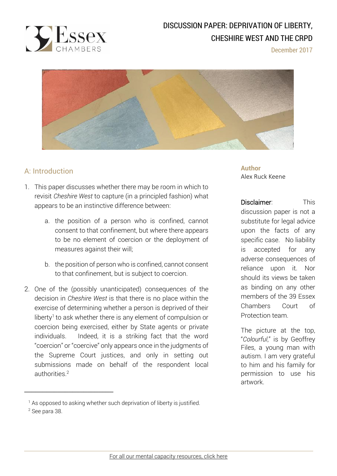

# DISCUSSION PAPER: DEPRIVATION OF LIBERTY, CHESHIRE WEST AND THE CRPD

December 2017



## A: Introduction

 $\overline{a}$ 

\_\_\_\_\_\_\_\_\_\_\_\_\_\_\_\_\_\_\_\_\_\_\_\_

- 1. This paper discusses whether there may be room in which to revisit *Cheshire West* to capture (in a principled fashion) what appears to be an instinctive difference between:
	- a. the position of a person who is confined, cannot consent to that confinement, but where there appears to be no element of coercion or the deployment of measures against their will;
	- b. the position of person who is confined, cannot consent to that confinement, but is subject to coercion.
- 2. One of the (possibly unanticipated) consequences of the decision in *Cheshire West* is that there is no place within the exercise of determining whether a person is deprived of their liberty<sup>1</sup> to ask whether there is any element of compulsion or coercion being exercised, either by State agents or private individuals. Indeed, it is a striking fact that the word "coercion" or "coercive" only appears once in the judgments of the Supreme Court justices, and only in setting out submissions made on behalf of the respondent local authorities.<sup>2</sup>

<sup>1</sup> As opposed to asking whether such deprivation of liberty is justified. <sup>2</sup> See para 38.

**Author** Alex Ruck Keene

Disclaimer: This discussion paper is not a substitute for legal advice upon the facts of any specific case. No liability is accepted for any adverse consequences of reliance upon it. Nor should its views be taken as binding on any other members of the 39 Essex Chambers Court of Protection team.

The picture at the top, "*Colourful*," is by Geoffrey Files, a young man with autism. I am very grateful to him and his family for permission to use his artwork.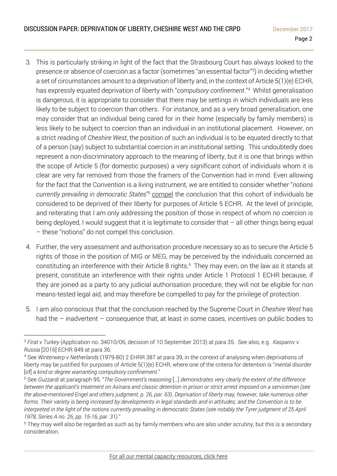- 3. This is particularly striking in light of the fact that the Strasbourg Court has always looked to the presence or absence of coercion as a factor (sometimes "an essential factor"<sup>3</sup> ) in deciding whether a set of circumstances amount to a deprivation of liberty and, in the context of Article 5(1)(e) ECHR, has expressly equated deprivation of liberty with "*compulsory confinement*."<sup>4</sup> Whilst generalisation is dangerous, it is appropriate to consider that there may be settings in which individuals are less likely to be subject to coercion than others. For instance, and as a very broad generalisation, one may consider that an individual being cared for in their home (especially by family members) is less likely to be subject to coercion than an individual in an institutional placement. However, on a strict reading of *Cheshire West*, the position of such an individual is to be equated directly to that of a person (say) subject to substantial coercion in an institutional setting. This undoubtedly does represent a non-discriminatory approach to the meaning of liberty, but it is one that brings within the scope of Article 5 (for domestic purposes) a very significant cohort of individuals whom it is clear are very far removed from those the framers of the Convention had in mind. Even allowing for the fact that the Convention is a living instrument, we are entitled to consider whether "*notions currently prevailing in democratic States*" <sup>5</sup> compel the conclusion that this cohort of individuals be considered to be deprived of their liberty for purposes of Article 5 ECHR. At the level of principle, and reiterating that I am only addressing the position of those in respect of whom no coercion is being deployed, I would suggest that it is legitimate to consider that  $-$  all other things being equal – these "notions" do not compel this conclusion.
- 4. Further, the very assessment and authorisation procedure necessary so as to secure the Article 5 rights of those in the position of MIG or MEG, may be perceived by the individuals concerned as constituting an interference with their Article 8 rights.<sup>6</sup> They may even, on the law as it stands at present, constitute an interference with their rights under Article 1 Protocol 1 ECHR because, if they are joined as a party to any judicial authorisation procedure, they will not be eligible for non means-tested legal aid, and may therefore be compelled to pay for the privilege of protection.
- 5. I am also conscious that that the conclusion reached by the Supreme Court in *Cheshire West* has had the – inadvertent – consequence that, at least in some cases, incentives on public bodies to

 $\overline{a}$ <sup>3</sup> *Firat v Turkey* (Application no. 34010/06, decision of 10 September 2013) at para 35. See also, e.g. *Kasparov v Russia* [2016] ECHR 849 at para 36.

<sup>4</sup> See *Winterwerp v Netherlands* (1979-80) 2 EHRR 387 at para 39, in the context of analysing when deprivations of liberty may be justified for purposes of Article 5(1)(e) ECHR, where one of the criteria for detention is "*mental disorder* [of] *a kind or degree warranting compulsory confinement*."

<sup>5</sup> See *Guzzardi* at paragraph 95. "*The Government's reasoning* […] *demonstrates very clearly the extent of the difference* between the applicant's treatment on Asinara and classic detention in prison or strict arrest imposed on a serviceman (see the above-mentioned Engel and others judgment, p. 26, par. 63). Deprivation of liberty may, however, take numerous other forms. Their variety is being increased by developments in legal standards and in attitudes; and the Convention is to be interpreted in the light of the notions currently prevailing in democratic States (see notably the Tyrer judgment of 25 April *1978, Series A no. 26, pp. 15-16, par. 31)*."

<sup>&</sup>lt;sup>6</sup> They may well also be regarded as such as by family members who are also under scrutiny, but this is a secondary consideration.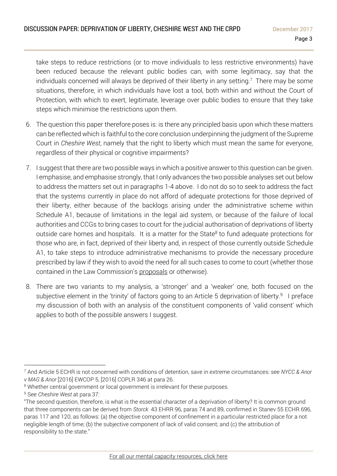take steps to reduce restrictions (or to move individuals to less restrictive environments) have been reduced because the relevant public bodies can, with some legitimacy, say that the individuals concerned will always be deprived of their liberty in any setting.<sup>7</sup> There may be some situations, therefore, in which individuals have lost a tool, both within and without the Court of Protection, with which to exert, legitimate, leverage over public bodies to ensure that they take steps which minimise the restrictions upon them.

- 6. The question this paper therefore poses is: is there any principled basis upon which these matters can be reflected which is faithful to the core conclusion underpinning the judgment of the Supreme Court in *Cheshire West*, namely that the right to liberty which must mean the same for everyone, regardless of their physical or cognitive impairments?
- 7. I suggest that there are two possible ways in which a positive answer to this question can be given. I emphasise, and emphasise strongly, that I only advances the two possible analyses set out below to address the matters set out in paragraphs 1-4 above. I do not do so to seek to address the fact that the systems currently in place do not afford of adequate protections for those deprived of their liberty, either because of the backlogs arising under the administrative scheme within Schedule A1, because of limitations in the legal aid system, or because of the failure of local authorities and CCGs to bring cases to court for the judicial authorisation of deprivations of liberty outside care homes and hospitals. It is a matter for the State<sup>8</sup> to fund adequate protections for those who are, in fact, deprived of their liberty and, in respect of those currently outside Schedule A1, to take steps to introduce administrative mechanisms to provide the necessary procedure prescribed by law if they wish to avoid the need for all such cases to come to court (whether those contained in the Law Commission's [proposals](https://www.lawcom.gov.uk/project/mental-capacity-and-deprivation-of-liberty/) or otherwise).
- 8. There are two variants to my analysis, a 'stronger' and a 'weaker' one, both focused on the subjective element in the 'trinity' of factors going to an Article 5 deprivation of liberty.<sup>9</sup> I preface my discussion of both with an analysis of the constituent components of 'valid consent' which applies to both of the possible answers I suggest.

<sup>7</sup> And Article 5 ECHR is not concerned with conditions of detention, save in extreme circumstances: see *NYCC & Anor v MAG & Anor* [2016] EWCOP 5, [2016] COPLR 346 at para 26.

<sup>&</sup>lt;sup>8</sup> Whether central government or local government is irrelevant for these purposes.

<sup>9</sup> See *Cheshire West* at para 37:

<sup>&</sup>quot;The second question, therefore, is what is the essential character of a deprivation of liberty? It is common ground that three components can be derived from *Storck* 43 EHRR 96, paras 74 and 89, confirmed in Stanev 55 ECHR 696, paras 117 and 120, as follows: (a) the objective component of confinement in a particular restricted place for a not negligible length of time; (b) the subjective component of lack of valid consent; and (c) the attribution of responsibility to the state."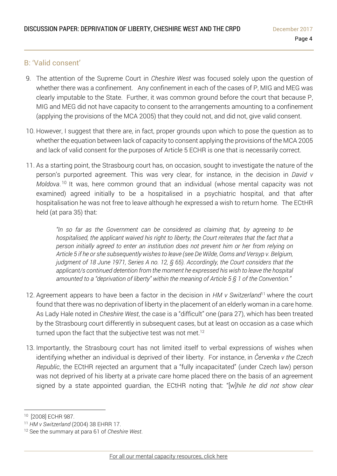### B: 'Valid consent'

- 9. The attention of the Supreme Court in *Cheshire West* was focused solely upon the question of whether there was a confinement. Any confinement in each of the cases of P, MIG and MEG was clearly imputable to the State. Further, it was common ground before the court that because P, MIG and MEG did not have capacity to consent to the arrangements amounting to a confinement (applying the provisions of the MCA 2005) that they could not, and did not, give valid consent.
- 10. However, I suggest that there are, in fact, proper grounds upon which to pose the question as to whether the equation between lack of capacity to consent applying the provisions of the MCA 2005 and lack of valid consent for the purposes of Article 5 ECHR is one that is necessarily correct.
- 11. As a starting point, the Strasbourg court has, on occasion, sought to investigate the nature of the person's purported agreement. This was very clear, for instance, in the decision in *David v Moldova*. <sup>10</sup> It was, here common ground that an individual (whose mental capacity was not examined) agreed initially to be a hospitalised in a psychiatric hospital, and that after hospitalisation he was not free to leave although he expressed a wish to return home. The ECtHR held (at para 35) that:

*"In so far as the Government can be considered as claiming that, by agreeing to be hospitalised, the applicant waived his right to liberty, the Court reiterates that the fact that a person initially agreed to enter an institution does not prevent him or her from relying on Article 5 if he or she subsequently wishes to leave (see De Wilde, Ooms and Versyp v. Belgium, judgment of 18 June 1971, Series A no. 12, § 65). Accordingly, the Court considers that the applicant/s continued detention from the moment he expressed his wish to leave the hospital amounted to a "deprivation of liberty" within the meaning of Article 5 § 1 of the Convention."* 

- 12. Agreement appears to have been a factor in the decision in *HM v Switzerland*<sup>11</sup> where the court found that there was no deprivation of liberty in the placement of an elderly woman in a care home. As Lady Hale noted in *Cheshire West*, the case is a "difficult" one (para 27), which has been treated by the Strasbourg court differently in subsequent cases, but at least on occasion as a case which turned upon the fact that the subjective test was not met.<sup>12</sup>
- 13. Importantly, the Strasbourg court has not limited itself to verbal expressions of wishes when identifying whether an individual is deprived of their liberty. For instance, in *Červenka v the Czech Republic*, the ECtHR rejected an argument that a "fully incapacitated" (under Czech law) person was not deprived of his liberty at a private care home placed there on the basis of an agreement signed by a state appointed guardian, the ECtHR noting that: "[w]*hile he did not show clear*

 $\overline{a}$ <sup>10</sup> [2008] ECHR 987.

<sup>11</sup> *HM v Switzerland* (2004) 38 EHRR 17.

<sup>12</sup> See the summary at para 61 of *Cheshire West*.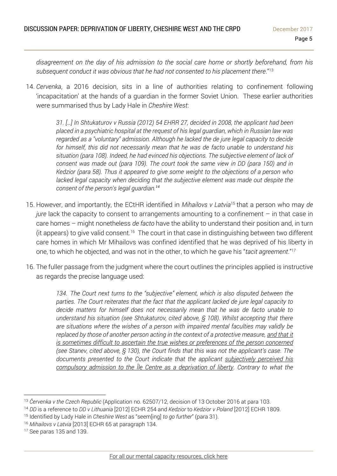*disagreement on the day of his admission to the social care home or shortly beforehand, from his subsequent conduct it was obvious that he had not consented to his placement there*."<sup>13</sup>

14. *Cervenka*, a 2016 decision, sits in a line of authorities relating to confinement following 'incapacitation' at the hands of a guardian in the former Soviet Union. These earlier authorities were summarised thus by Lady Hale in *Cheshire West*:

> *31. […] In Shtukaturov v Russia [\(2012\) 54 EHRR 27,](http://www.bailii.org/cgi-bin/redirect.cgi?path=/eu/cases/ECHR/2008/223.html) decided in 2008, the applicant had been placed in a psychiatric hospital at the request of his legal guardian, which in Russian law was regarded as a "voluntary" admission. Although he lacked the de jure legal capacity to decide for himself, this did not necessarily mean that he was de facto unable to understand his situation (para 108). Indeed, he had evinced his objections. The subjective element of lack of consent was made out (para 109). The court took the same view in DD (para 150) and in Kedzior (para 58). Thus it appeared to give some weight to the objections of a person who*  lacked legal capacity when deciding that the subjective element was made out despite the *consent of the person's legal guardian.<sup>14</sup>*

- 15. However, and importantly, the ECtHR identified in *Mihailovs v Latvia*<sup>15</sup> that a person who may *de jure* lack the capacity to consent to arrangements amounting to a confinement – in that case in care homes – might nonetheless *de facto* have the ability to understand their position and, in turn (it appears) to give valid consent.<sup>16</sup> The court in that case in distinguishing between two different care homes in which Mr Mihailovs was confined identified that he was deprived of his liberty in one, to which he objected, and was not in the other, to which he gave his "*tacit agreement*."<sup>17</sup>
- 16. The fuller passage from the judgment where the court outlines the principles applied is instructive as regards the precise language used:

*134. The Court next turns to the "subjective" element, which is also disputed between the parties. The Court reiterates that the fact that the applicant lacked de jure legal capacity to decide matters for himself does not necessarily mean that he was de facto unable to understand his situation (see Shtukaturov, cited above, § 108). Whilst accepting that there are situations where the wishes of a person with impaired mental faculties may validly be replaced by those of another person acting in the context of a protective measure, and that it is sometimes difficult to ascertain the true wishes or preferences of the person concerned (see Stanev, cited above, § 130), the Court finds that this was not the applicant's case. The documents presented to the Court indicate that the applicant subjectively perceived his compulsory admission to the Īle Centre as a deprivation of liberty. Contrary to what the* 

<sup>16</sup> *Mihailovs v Latvia* [2013] ECHR 65 at paragraph 134.

<sup>13</sup> *Červenka v the Czech Republic* (Application no. 62507/12, decision of 13 October 2016 at para 103.

<sup>14</sup> *DD* is a reference to *DD v Lithuania* [2012] ECHR 254 and *Kedzior* to *Kedzior v Poland* [2012] ECHR 1809.

<sup>15</sup> Identified by Lady Hale in *Cheshire West* as "seem[ing] *to go further*" (para 31).

<sup>17</sup> See paras 135 and 139.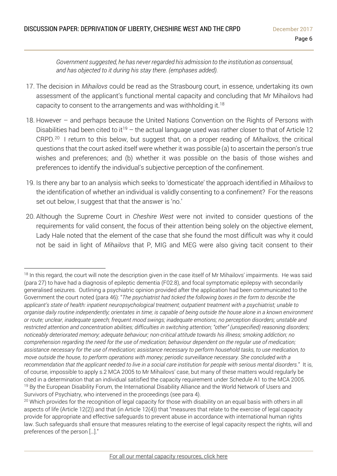*Government suggested, he has never regarded his admission to the institution as consensual, and has objected to it during his stay there. (emphases added).* 

- 17. The decision in *Mihailovs* could be read as the Strasbourg court, in essence, undertaking its own assessment of the applicant's functional mental capacity and concluding that Mr Mihailovs had capacity to consent to the arrangements and was withholding it. $^{18}$
- 18. However and perhaps because the United Nations Convention on the Rights of Persons with Disabilities had been cited to it<sup>19</sup> – the actual language used was rather closer to that of Article 12 CRPD.<sup>20</sup> I return to this below, but suggest that, on a proper reading of *Mihailovs*, the critical questions that the court asked itself were whether it was possible (a) to ascertain the person's true wishes and preferences; and (b) whether it was possible on the basis of those wishes and preferences to identify the individual's subjective perception of the confinement.
- 19. Is there any bar to an analysis which seeks to 'domesticate' the approach identified in *Mihailovs* to the identification of whether an individual is validly consenting to a confinement? For the reasons set out below, I suggest that that the answer is 'no.'
- 20. Although the Supreme Court in *Cheshire West* were not invited to consider questions of the requirements for valid consent, the focus of their attention being solely on the objective element, Lady Hale noted that the element of the case that she found the most difficult was why it could not be said in light of *Mihailovs* that P, MIG and MEG were also giving tacit consent to their

<sup>&</sup>lt;sup>18</sup> In this regard, the court will note the description given in the case itself of Mr Mihailovs' impairments. He was said (para 27) to have had a diagnosis of epileptic dementia (F02.8), and focal symptomatic epilepsy with secondarily generalised seizures. Outlining a psychiatric opinion provided after the application had been communicated to the Government the court noted (para 46): "*The psychiatrist had ticked the following boxes in the form to describe the applicant's state of health: inpatient neuropsychological treatment; outpatient treatment with a psychiatrist; unable to* organise daily routine independently; orientates in time; is capable of being outside the house alone in a known environment *or route; unclear, inadequate speech; frequent mood swings; inadequate emotions; no perception disorders; unstable and restricted attention and concentration abilities; difficulties in switching attention; "other" (unspecified) reasoning disorders; noticeably deteriorated memory; adequate behaviour; non-critical attitude towards his illness; smoking addiction; no* comprehension regarding the need for the use of medication; behaviour dependent on the regular use of medication; assistance necessary for the use of medication; assistance necessary to perform household tasks, to use medication, to *move outside the house, to perform operations with money; periodic surveillance necessary. She concluded with a* recommendation that the applicant needed to live in a social care institution for people with serious mental disorders." It is, of course, impossible to apply s.2 MCA 2005 to Mr Mihailovs' case, but many of these matters would regularly be cited in a determination that an individual satisfied the capacity requirement under Schedule A1 to the MCA 2005. <sup>19</sup> By the European Disability Forum, the International Disability Alliance and the World Network of Users and Survivors of Psychiatry, who intervened in the proceedings (see para 4).

<sup>&</sup>lt;sup>20</sup> Which provides for the recognition of legal capacity for those with disability on an equal basis with others in all aspects of life (Article 12(2)) and that (in Article 12(4)) that "measures that relate to the exercise of legal capacity provide for appropriate and effective safeguards to prevent abuse in accordance with international human rights law. Such safeguards shall ensure that measures relating to the exercise of legal capacity respect the rights, will and preferences of the person […]."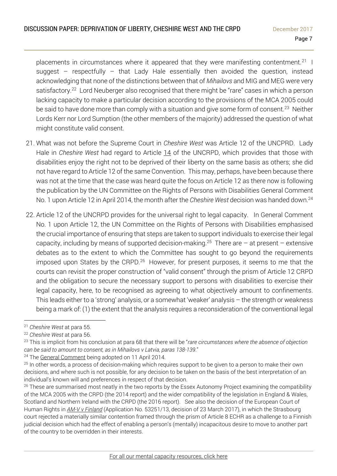placements in circumstances where it appeared that they were manifesting contentment.<sup>21</sup> I suggest – respectfully – that Lady Hale essentially then avoided the question, instead acknowledging that none of the distinctions between that of *Mihailovs* and MIG and MEG were very satisfactory.<sup>22</sup> Lord Neuberger also recognised that there might be "rare" cases in which a person lacking capacity to make a particular decision according to the provisions of the MCA 2005 could be said to have done more than comply with a situation and give some form of consent.<sup>23</sup> Neither Lords Kerr nor Lord Sumption (the other members of the majority) addressed the question of what might constitute valid consent.

- 21. What was not before the Supreme Court in *Cheshire West* was Article 12 of the UNCPRD. Lady Hale in *Cheshire West* had regard to Article 14 of the UNCRPD, which provides that those with disabilities enjoy the right not to be deprived of their liberty on the same basis as others; she did not have regard to Article 12 of the same Convention. This may, perhaps, have been because there was not at the time that the case was heard quite the focus on Article 12 as there now is following the publication by the UN Committee on the Rights of Persons with Disabilities General Comment No. 1 upon Article 12 in April 2014, the month after the *Cheshire West* decision was handed down.<sup>24</sup>
- 22. Article 12 of the UNCRPD provides for the universal right to legal capacity. In General Comment No. 1 upon Article 12, the UN Committee on the Rights of Persons with Disabilities emphasised the crucial importance of ensuring that steps are taken to support individuals to exercise their legal capacity, including by means of supported decision-making.<sup>25</sup> There are – at present – extensive debates as to the extent to which the Committee has sought to go beyond the requirements imposed upon States by the CRPD.<sup>26</sup> However, for present purposes, it seems to me that the courts can revisit the proper construction of "valid consent" through the prism of Article 12 CRPD and the obligation to secure the necessary support to persons with disabilities to exercise their legal capacity, here, to be recognised as agreeing to what objectively amount to confinements. This leads either to a 'strong' analysis, or a somewhat 'weaker' analysis – the strength or weakness being a mark of: (1) the extent that the analysis requires a reconsideration of the conventional legal

<sup>21</sup> *Cheshire West* at para 55.

<sup>22</sup> *Cheshire West* at para 56.

<sup>23</sup> This is implicit from his conclusion at para 68 that there will be "*rare circumstances where the absence of objection can be said to amount to consent, as in Mihailovs v Latvia, paras 138-139*."

<sup>&</sup>lt;sup>24</sup> The General [Comment](https://daccess-ods.un.org/access.nsf/Get?Open&DS=CRPD/C/GC/1&Lang=E) being adopted on 11 April 2014.

<sup>&</sup>lt;sup>25</sup> In other words, a process of decision-making which requires support to be given to a person to make their own decisions, and where such is not possible, for any decision to be taken on the basis of the best interpretation of an individual's known will and preferences in respect of that decision.

<sup>&</sup>lt;sup>26</sup> These are summarised most neatly in the two reports by the Essex Autonomy Project examining the compatibility of the MCA 2005 with the CRPD (the 2014 report) and the wider compatibility of the legislation in England & Wales, Scotland and Northern Ireland with the CRPD (the 2016 report). See also the decision of the European Court of Human Rights in *AM-V v [Finland](http://www.39essex.com/cop_cases/v-v-finland/)* (Application No. 53251/13, decision of 23 March 2017), in which the Strasbourg court rejected a materially similar contention framed through the prism of Article 8 ECHR as a challenge to a Finnish judicial decision which had the effect of enabling a person's (mentally) incapacitous desire to move to another part of the country to be overridden in their interests.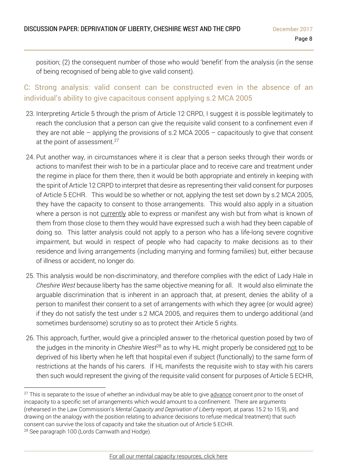position; (2) the consequent number of those who would 'benefit' from the analysis (in the sense of being recognised of being able to give valid consent).

C: Strong analysis: valid consent can be constructed even in the absence of an individual's ability to give capacitous consent applying s.2 MCA 2005

- 23. Interpreting Article 5 through the prism of Article 12 CRPD, I suggest it is possible legitimately to reach the conclusion that a person can give the requisite valid consent to a confinement even if they are not able  $-$  applying the provisions of s.2 MCA 2005  $-$  capacitously to give that consent at the point of assessment.<sup>27</sup>
- 24. Put another way, in circumstances where it is clear that a person seeks through their words or actions to manifest their wish to be in a particular place and to receive care and treatment under the regime in place for them there, then it would be both appropriate and entirely in keeping with the spirit of Article 12 CRPD to interpret that desire as representing their valid consent for purposes of Article 5 ECHR. This would be so whether or not, applying the test set down by s.2 MCA 2005, they have the capacity to consent to those arrangements. This would also apply in a situation where a person is not currently able to express or manifest any wish but from what is known of them from those close to them they would have expressed such a wish had they been capable of doing so. This latter analysis could not apply to a person who has a life-long severe cognitive impairment, but would in respect of people who had capacity to make decisions as to their residence and living arrangements (including marrying and forming families) but, either because of illness or accident, no longer do.
- 25. This analysis would be non-discriminatory, and therefore complies with the edict of Lady Hale in *Cheshire West* because liberty has the same objective meaning for all. It would also eliminate the arguable discrimination that is inherent in an approach that, at present, denies the ability of a person to manifest their consent to a set of arrangements with which they agree (or would agree) if they do not satisfy the test under s.2 MCA 2005, and requires them to undergo additional (and sometimes burdensome) scrutiny so as to protect their Article 5 rights.
- 26. This approach, further, would give a principled answer to the rhetorical question posed by two of the judges in the minority in *Cheshire West*<sup>28</sup> as to why HL might properly be considered not to be deprived of his liberty when he left that hospital even if subject (functionally) to the same form of restrictions at the hands of his carers. If HL manifests the requisite wish to stay with his carers then such would represent the giving of the requisite valid consent for purposes of Article 5 ECHR,

<sup>&</sup>lt;sup>27</sup> This is separate to the issue of whether an individual may be able to give advance consent prior to the onset of incapacity to a specific set of arrangements which would amount to a confinement. There are arguments (rehearsed in the Law Commission's *Mental Capacity and Deprivation of Liberty* report, at paras 15.2 to 15.9), and drawing on the analogy with the position relating to advance decisions to refuse medical treatment) that such consent can survive the loss of capacity and take the situation out of Article 5 ECHR. <sup>28</sup> See paragraph 100 (Lords Carnwath and Hodge).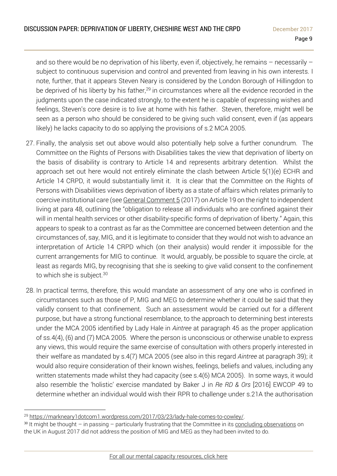and so there would be no deprivation of his liberty, even if, objectively, he remains – necessarily – subject to continuous supervision and control and prevented from leaving in his own interests. I note, further, that it appears Steven Neary is considered by the London Borough of Hillingdon to be deprived of his liberty by his father,<sup>29</sup> in circumstances where all the evidence recorded in the judgments upon the case indicated strongly, to the extent he is capable of expressing wishes and feelings, Steven's core desire is to live at home with his father. Steven, therefore, might well be seen as a person who should be considered to be giving such valid consent, even if (as appears likely) he lacks capacity to do so applying the provisions of s.2 MCA 2005.

- 27. Finally, the analysis set out above would also potentially help solve a further conundrum. The Committee on the Rights of Persons with Disabilities takes the view that deprivation of liberty on the basis of disability is contrary to Article 14 and represents arbitrary detention. Whilst the approach set out here would not entirely eliminate the clash between Article 5(1)(e) ECHR and Article 14 CRPD, it would substantially limit it. It is clear that the Committee on the Rights of Persons with Disabilities views deprivation of liberty as a state of affairs which relates primarily to coercive institutional care (see General [Comment](https://documents-dds-ny.un.org/doc/UNDOC/GEN/G17/328/87/PDF/G1732887.pdf?OpenElement) 5 (2017) on Article 19 on the right to independent living at para 48, outlining the "obligation to release all individuals who are confined against their will in mental health services or other disability-specific forms of deprivation of liberty." Again, this appears to speak to a contrast as far as the Committee are concerned between detention and the circumstances of, say, MIG, and it is legitimate to consider that they would not wish to advance an interpretation of Article 14 CRPD which (on their analysis) would render it impossible for the current arrangements for MIG to continue. It would, arguably, be possible to square the circle, at least as regards MIG, by recognising that she is seeking to give valid consent to the confinement to which she is subject.<sup>30</sup>
- 28. In practical terms, therefore, this would mandate an assessment of any one who is confined in circumstances such as those of P, MIG and MEG to determine whether it could be said that they validly consent to that confinement. Such an assessment would be carried out for a different purpose, but have a strong functional resemblance, to the approach to determining best interests under the MCA 2005 identified by Lady Hale in *Aintree* at paragraph 45 as the proper application of ss.4(4), (6) and (7) MCA 2005. Where the person is unconscious or otherwise unable to express any views, this would require the same exercise of consultation with others properly interested in their welfare as mandated by s.4(7) MCA 2005 (see also in this regard *Aintree* at paragraph 39); it would also require consideration of their known wishes, feelings, beliefs and values, including any written statements made whilst they had capacity (see s.4(6) MCA 2005). In some ways, it would also resemble the 'holistic' exercise mandated by Baker J in *Re RD & Ors* [2016] EWCOP 49 to determine whether an individual would wish their RPR to challenge under s.21A the authorisation

 $\overline{a}$ <sup>29</sup> [https://markneary1dotcom1.wordpress.com/2017/03/23/lady-hale-comes-to-cowley/.](https://markneary1dotcom1.wordpress.com/2017/03/23/lady-hale-comes-to-cowley/)

 $30$  It might be thought – in passing – particularly frustrating that the Committee in its concluding [observations](https://mhj.org.uk/wp-content/uploads/sites/192/2017/09/Concluding-Observations-CRPD-Committee-UK.pdf) on the UK in August 2017 did not address the position of MIG and MEG as they had been invited to do.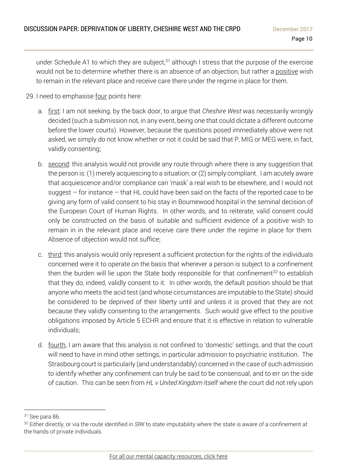under Schedule A1 to which they are subject, $31$  although I stress that the purpose of the exercise would not be to determine whether there is an absence of an objection, but rather a positive wish to remain in the relevant place and receive care there under the regime in place for them.

- 29. I need to emphasise four points here:
	- a. first: I am not seeking, by the back door, to argue that *Cheshire West* was necessarily wrongly decided (such a submission not, in any event, being one that could dictate a different outcome before the lower courts). However, because the questions posed immediately above were not asked, we simply do not know whether or not it could be said that P, MIG or MEG were, in fact, validly consenting;
	- b. second: this analysis would not provide any route through where there is any suggestion that the person is: (1) merely acquiescing to a situation; or (2) simply compliant. I am acutely aware that acquiescence and/or compliance can 'mask' a real wish to be elsewhere, and I would not suggest – for instance – that HL could have been said on the facts of the reported case to be giving any form of valid consent to his stay in Bournewood hospital in the seminal decision of the European Court of Human Rights. In other words, and to reiterate, valid consent could only be constructed on the basis of suitable and sufficient evidence of a positive wish to remain in in the relevant place and receive care there under the regime in place for them. Absence of objection would not suffice;
	- c. third: this analysis would only represent a sufficient protection for the rights of the individuals concerned were it to operate on the basis that wherever a person is subject to a confinement then the burden will lie upon the State body responsible for that confinement<sup>32</sup> to establish that they do, indeed, validly consent to it. In other words, the default position should be that anyone who meets the acid test (and whose circumstances are imputable to the State) should be considered to be deprived of their liberty until and unless it is proved that they are not because they validly consenting to the arrangements. Such would give effect to the positive obligations imposed by Article 5 ECHR and ensure that it is effective in relation to vulnerable individuals;
	- d. fourth, I am aware that this analysis is not confined to 'domestic' settings, and that the court will need to have in mind other settings, in particular admission to psychiatric institution. The Strasbourg court is particularly (and understandably) concerned in the case of such admission to identify whether any confinement can truly be said to be consensual, and to err on the side of caution. This can be seen from *HL v United Kingdom* itself where the court did not rely upon

<sup>31</sup> See para 86.

<sup>32</sup> Either directly, or via the route identified in *SRK* to state imputability where the state is aware of a confinement at the hands of private individuals.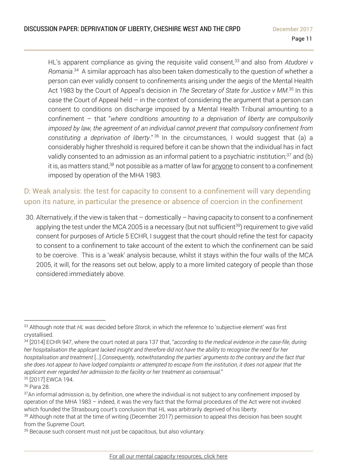HL's apparent compliance as giving the requisite valid consent,<sup>33</sup> and also from Atudorei *v Romania*. 34 A similar approach has also been taken domestically to the question of whether a person can ever validly consent to confinements arising under the aegis of the Mental Health Act 1983 by the Court of Appeal's decision in *The Secretary of State for Justice v MM*. <sup>35</sup> In this case the Court of Appeal held  $-$  in the context of considering the argument that a person can consent to conditions on discharge imposed by a Mental Health Tribunal amounting to a confinement – that "*where conditions amounting to a deprivation of liberty are compulsorily imposed by law, the agreement of an individual cannot prevent that compulsory confinement from constituting a deprivation of liberty*." <sup>36</sup> In the circumstances, I would suggest that (a) a considerably higher threshold is required before it can be shown that the individual has in fact validly consented to an admission as an informal patient to a psychiatric institution; $37$  and (b) it is, as matters stand,<sup>38</sup> not possible as a matter of law for anyone to consent to a confinement imposed by operation of the MHA 1983.

## D: Weak analysis: the test for capacity to consent to a confinement will vary depending upon its nature, in particular the presence or absence of coercion in the confinement

30. Alternatively, if the view is taken that – domestically – having capacity to consent to a confinement applying the test under the MCA 2005 is a necessary (but not sufficient<sup>39</sup>) requirement to give valid consent for purposes of Article 5 ECHR, I suggest that the court should refine the test for capacity to consent to a confinement to take account of the extent to which the confinement can be said to be coercive. This is a 'weak' analysis because, whilst it stays within the four walls of the MCA 2005, it will, for the reasons set out below, apply to a more limited category of people than those considered immediately above.

 $\overline{a}$ <sup>33</sup> Although note that *HL* was decided before *Storck*, in which the reference to 'subjective element' was first crystallised.

<sup>34</sup> [2014] ECHR 947, where the court noted at para 137 that, "*according to the medical evidence in the case-file, during* her hospitalisation the applicant lacked insight and therefore did not have the ability to recognise the need for her hospitalisation and treatment [...] Consequently, notwithstanding the parties' arguments to the contrary and the fact that she does not appear to have lodged complaints or attempted to escape from the institution, it does not appear that the *applicant ever regarded her admission to the facility or her treatment as consensual*."

<sup>35</sup> [2017] EWCA 194.

<sup>36</sup> Para 28.

<sup>&</sup>lt;sup>37</sup>An informal admission is, by definition, one where the individual is not subject to any confinement imposed by operation of the MHA 1983 – indeed, it was the very fact that the formal procedures of the Act were not invoked which founded the Strasbourg court's conclusion that HL was arbitrarily deprived of his liberty.

<sup>38</sup> Although note that at the time of writing (December 2017) permission to appeal this decision has been sought from the Supreme Court.

<sup>&</sup>lt;sup>39</sup> Because such consent must not just be capacitous, but also voluntary.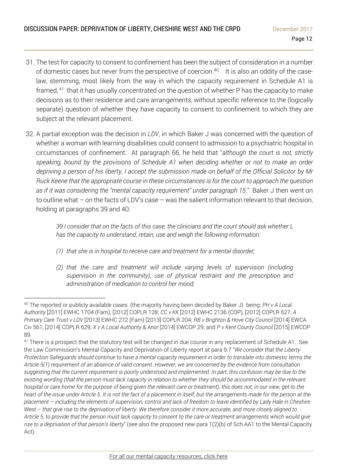- 31. The test for capacity to consent to confinement has been the subject of consideration in a number of domestic cases but never from the perspective of coercion. $^{40}$   $\;$  It is also an oddity of the caselaw, stemming, most likely from the way in which the capacity requirement in Schedule A1 is framed,<sup>41</sup> that it has usually concentrated on the question of whether P has the capacity to make decisions as to their residence and care arrangements, without specific reference to the (logically separate) question of whether they have capacity to consent to confinement to which they are subject at the relevant placement.
- 32. A partial exception was the decision in *LDV*, in which Baker J was concerned with the question of whether a woman with learning disabilities could consent to admission to a psychiatric hospital in circumstances of confinement. At paragraph 66, he held that "*although the court is not, strictly speaking, bound by the provisions of Schedule A1 when deciding whether or not to make an order* depriving a person of his liberty, I accept the submission made on behalf of the Official Solicitor by Mr *Ruck Keene that the appropriate course in these circumstances is for the court to approach the question as if it was considering the "mental capacity requirement" under paragraph 15*." Baker J then went on to outline what – on the facts of LDV's case – was the salient information relevant to that decision, holding at paragraphs 39 and 40:

*39 I consider that on the facts of this case, the clinicians and the court should ask whether L has the capacity to understand, retain, use and weigh the following information:* 

- *(1) that she is in hospital to receive care and treatment for a mental disorder;*
- *(2) that the care and treatment will include varying levels of supervision (including supervision in the community), use of physical restraint and the prescription and administration of medication to control her mood;*

 $\overline{a}$ <sup>40</sup> The reported or publicly available cases (the majority having been decided by Baker J) being: *PH v A Local Authority* [2011] EWHC 1704 (Fam), [2012] COPLR 128; *CC v KK* [2012] EWHC 2136 (COP), [2012] COPLR 627; *A Primary Care Trust v LDV* [2013] EWHC 272 (Fam) [2013] COPLR 204; *RB v Brighton & Hove City Council* [2014] EWCA Civ 561; [2014] COPLR 629; *X v A Local Authority & Anor* [2014] EWCOP 29; and *P v Kent County Council* [2015] EWCOP 89.

<sup>&</sup>lt;sup>41</sup> There is a prospect that the statutory test will be changed in due course in any replacement of Schedule A1. See the Law Commission's Mental Capacity and Deprivation of Liberty report at para 9.7 "*We consider that the Liberty* Protection Safeguards should continue to have a mental capacity requirement in order to translate into domestic terms the Article 5(1) requirement of an absence of valid consent. However, we are concerned by the evidence from consultation suggesting that the current requirement is poorly understood and implemented. In part, this confusion may be due to the existing wording (that the person must lack capacity in relation to whether they should be accommodated in the relevant hospital or care home for the purpose of being given the relevant care or treatment); this does not, in our view, get to the heart of the issue under Article 5. It is not the fact of a placement in itself, but the arrangements made for the person at the placement - including the elements of supervision, control and lack of freedom to leave identified by Lady Hale in Cheshire West - that give rise to the deprivation of liberty. We therefore consider it more accurate, and more closely aligned to Article 5, to provide that the person must lack capacity to consent to the care or treatment arrangements which would give *rise to a deprivation of that person's liberty*" (see also the proposed new para 1(2)(b) of Sch AA1 to the Mental Capacity Act).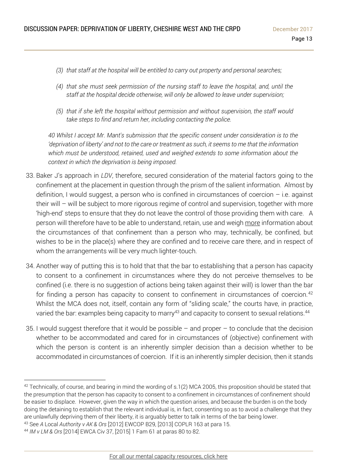- *(3) that staff at the hospital will be entitled to carry out property and personal searches;*
- *(4) that she must seek permission of the nursing staff to leave the hospital, and, until the staff at the hospital decide otherwise, will only be allowed to leave under supervision;*
- *(5) that if she left the hospital without permission and without supervision, the staff would take steps to find and return her, including contacting the police.*

*40 Whilst I accept Mr. Mant's submission that the specific consent under consideration is to the 'deprivation of liberty' and not to the care or treatment as such, it seems to me that the information which must be understood, retained, used and weighed extends to some information about the context in which the deprivation is being imposed.*

- 33. Baker J's approach in *LDV*, therefore, secured consideration of the material factors going to the confinement at the placement in question through the prism of the salient information. Almost by definition, I would suggest, a person who is confined in circumstances of coercion  $-$  i.e. against their will – will be subject to more rigorous regime of control and supervision, together with more 'high-end' steps to ensure that they do not leave the control of those providing them with care. A person will therefore have to be able to understand, retain, use and weigh more information about the circumstances of that confinement than a person who may, technically, be confined, but wishes to be in the place(s) where they are confined and to receive care there, and in respect of whom the arrangements will be very much lighter-touch.
- 34. Another way of putting this is to hold that that the bar to establishing that a person has capacity to consent to a confinement in circumstances where they do not perceive themselves to be confined (i.e. there is no suggestion of actions being taken against their will) is lower than the bar for finding a person has capacity to consent to confinement in circumstances of coercion.<sup>42</sup> Whilst the MCA does not, itself, contain any form of "sliding scale," the courts have, in practice, varied the bar: examples being capacity to marry<sup>43</sup> and capacity to consent to sexual relations.<sup>44</sup>
- 35. I would suggest therefore that it would be possible  $-$  and proper  $-$  to conclude that the decision whether to be accommodated and cared for in circumstances of (objective) confinement with which the person is content is an inherently simpler decision than a decision whether to be accommodated in circumstances of coercion. If it is an inherently simpler decision, then it stands

 $42$  Technically, of course, and bearing in mind the wording of s.1(2) MCA 2005, this proposition should be stated that the presumption that the person has capacity to consent to a confinement in circumstances of confinement should be easier to displace. However, given the way in which the question arises, and because the burden is on the body doing the detaining to establish that the relevant individual is, in fact, consenting so as to avoid a challenge that they are unlawfully depriving them of their liberty, it is arguably better to talk in terms of the bar being lower. <sup>43</sup> See *A* Local *Authority v AK & Ors* [2012] EWCOP B29, [2013] COPLR 163 at para 15.

<sup>44</sup> *IM v LM & Ors* [2014] EWCA Civ 37, [2015] 1 Fam 61 at paras 80 to 82.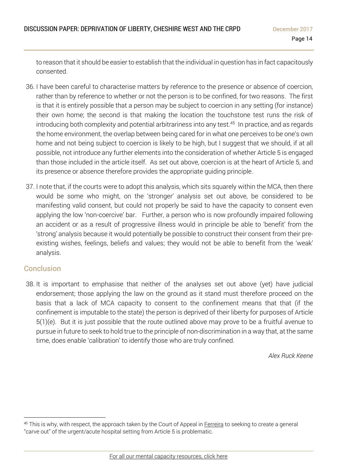to reason that it should be easier to establish that the individual in question has in fact capacitously consented.

- 36. I have been careful to characterise matters by reference to the presence or absence of coercion, rather than by reference to whether or not the person is to be confined, for two reasons. The first is that it is entirely possible that a person may be subject to coercion in any setting (for instance) their own home; the second is that making the location the touchstone test runs the risk of introducing both complexity and potential arbitrariness into any test. $^{\rm 45}$  In practice, and as regards the home environment, the overlap between being cared for in what one perceives to be one's own home and not being subject to coercion is likely to be high, but I suggest that we should, if at all possible, not introduce any further elements into the consideration of whether Article 5 is engaged than those included in the article itself. As set out above, coercion is at the heart of Article 5, and its presence or absence therefore provides the appropriate guiding principle.
- 37. I note that, if the courts were to adopt this analysis, which sits squarely within the MCA, then there would be some who might, on the 'stronger' analysis set out above, be considered to be manifesting valid consent, but could not properly be said to have the capacity to consent even applying the low 'non-coercive' bar. Further, a person who is now profoundly impaired following an accident or as a result of progressive illness would in principle be able to 'benefit' from the 'strong' analysis because it would potentially be possible to construct their consent from their preexisting wishes, feelings, beliefs and values; they would not be able to benefit from the 'weak' analysis.

## Conclusion

 $\overline{a}$ 

38. It is important to emphasise that neither of the analyses set out above (yet) have judicial endorsement; those applying the law on the ground as it stand must therefore proceed on the basis that a lack of MCA capacity to consent to the confinement means that that (if the confinement is imputable to the state) the person is deprived of their liberty for purposes of Article 5(1)(e). But it is just possible that the route outlined above may prove to be a fruitful avenue to pursue in future to seek to hold true to the principle of non-discrimination in a way that, at the same time, does enable 'calibration' to identify those who are truly confined.

*Alex Ruck Keene*

<sup>&</sup>lt;sup>45</sup> This is why, with respect, the approach taken by the Court of Appeal in [Ferreira](http://www.39essex.com/cop_cases/r-ferreira-v-hm-senior-coroner-inner-south-london-others/) to seeking to create a general "carve out" of the urgent/acute hospital setting from Article 5 is problematic.